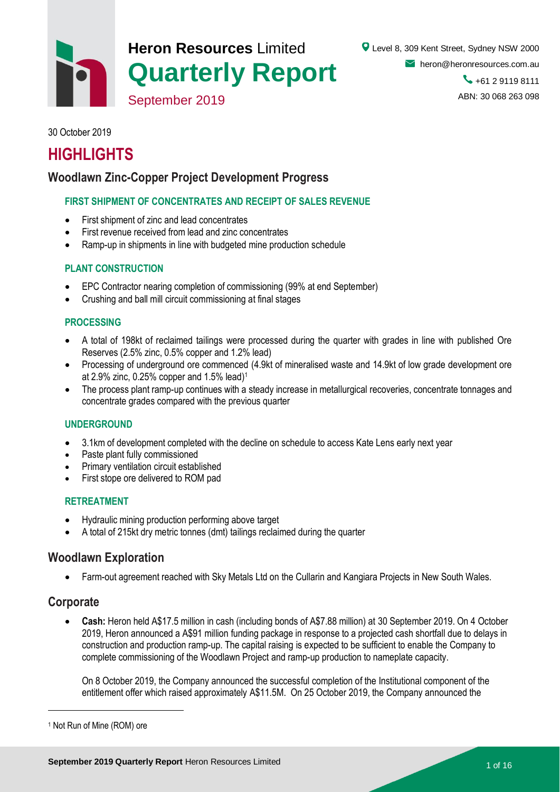

30 October 2019

# **HIGHLIGHTS**

## **Woodlawn Zinc-Copper Project Development Progress**

#### **FIRST SHIPMENT OF CONCENTRATES AND RECEIPT OF SALES REVENUE**

- First shipment of zinc and lead concentrates
- First revenue received from lead and zinc concentrates
- Ramp-up in shipments in line with budgeted mine production schedule

#### **PLANT CONSTRUCTION**

- EPC Contractor nearing completion of commissioning (99% at end September)
- Crushing and ball mill circuit commissioning at final stages

#### **PROCESSING**

- A total of 198kt of reclaimed tailings were processed during the quarter with grades in line with published Ore Reserves (2.5% zinc, 0.5% copper and 1.2% lead)
- Processing of underground ore commenced (4.9kt of mineralised waste and 14.9kt of low grade development ore at 2.9% zinc, 0.25% copper and 1.5% lead) 1
- The process plant ramp-up continues with a steady increase in metallurgical recoveries, concentrate tonnages and concentrate grades compared with the previous quarter

#### **UNDERGROUND**

- 3.1km of development completed with the decline on schedule to access Kate Lens early next year
- Paste plant fully commissioned
- Primary ventilation circuit established
- First stope ore delivered to ROM pad

#### **RETREATMENT**

- Hydraulic mining production performing above target
- A total of 215kt dry metric tonnes (dmt) tailings reclaimed during the quarter

#### **Woodlawn Exploration**

Farm-out agreement reached with Sky Metals Ltd on the Cullarin and Kangiara Projects in New South Wales.

#### **Corporate**

 $\overline{a}$ 

 **Cash:** Heron held A\$17.5 million in cash (including bonds of A\$7.88 million) at 30 September 2019. On 4 October 2019, Heron announced a A\$91 million funding package in response to a projected cash shortfall due to delays in construction and production ramp-up. The capital raising is expected to be sufficient to enable the Company to complete commissioning of the Woodlawn Project and ramp-up production to nameplate capacity.

On 8 October 2019, the Company announced the successful completion of the Institutional component of the entitlement offer which raised approximately A\$11.5M. On 25 October 2019, the Company announced the

<sup>1</sup> Not Run of Mine (ROM) ore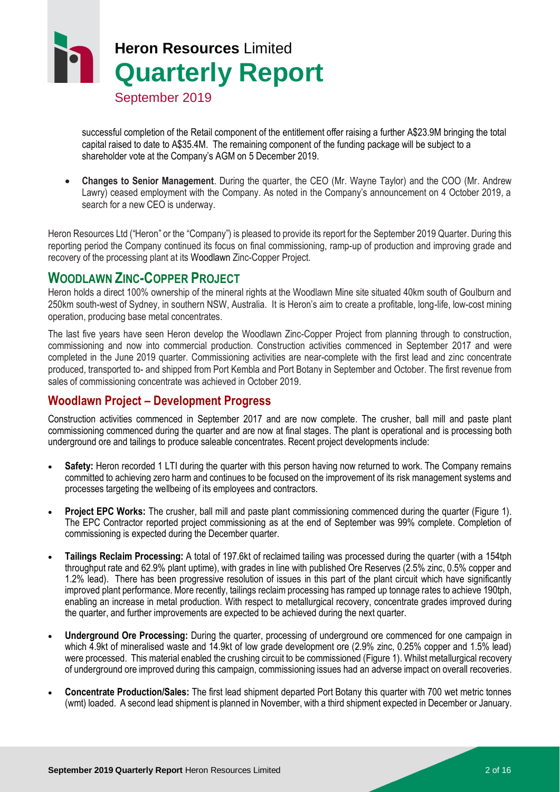

successful completion of the Retail component of the entitlement offer raising a further A\$23.9M bringing the total capital raised to date to A\$35.4M. The remaining component of the funding package will be subject to a shareholder vote at the Company's AGM on 5 December 2019.

 **Changes to Senior Management**. During the quarter, the CEO (Mr. Wayne Taylor) and the COO (Mr. Andrew Lawry) ceased employment with the Company. As noted in the Company's announcement on 4 October 2019, a search for a new CEO is underway.

Heron Resources Ltd ("Heron" or the "Company") is pleased to provide its report for the September 2019 Quarter. During this reporting period the Company continued its focus on final commissioning, ramp-up of production and improving grade and recovery of the processing plant at its Woodlawn Zinc-Copper Project.

## **WOODLAWN ZINC-COPPER PROJECT**

Heron holds a direct 100% ownership of the mineral rights at the Woodlawn Mine site situated 40km south of Goulburn and 250km south-west of Sydney, in southern NSW, Australia. It is Heron's aim to create a profitable, long-life, low-cost mining operation, producing base metal concentrates.

The last five years have seen Heron develop the Woodlawn Zinc-Copper Project from planning through to construction, commissioning and now into commercial production. Construction activities commenced in September 2017 and were completed in the June 2019 quarter. Commissioning activities are near-complete with the first lead and zinc concentrate produced, transported to- and shipped from Port Kembla and Port Botany in September and October. The first revenue from sales of commissioning concentrate was achieved in October 2019.

### **Woodlawn Project – Development Progress**

Construction activities commenced in September 2017 and are now complete. The crusher, ball mill and paste plant commissioning commenced during the quarter and are now at final stages. The plant is operational and is processing both underground ore and tailings to produce saleable concentrates. Recent project developments include:

- **Safety:** Heron recorded 1 LTI during the quarter with this person having now returned to work. The Company remains committed to achieving zero harm and continues to be focused on the improvement of its risk management systems and processes targeting the wellbeing of its employees and contractors.
- **Project EPC Works:** The crusher, ball mill and paste plant commissioning commenced during the quarter [\(Figure 1\)](#page-2-0). The EPC Contractor reported project commissioning as at the end of September was 99% complete. Completion of commissioning is expected during the December quarter.
- **Tailings Reclaim Processing:** A total of 197.6kt of reclaimed tailing was processed during the quarter (with a 154tph throughput rate and 62.9% plant uptime), with grades in line with published Ore Reserves (2.5% zinc, 0.5% copper and 1.2% lead). There has been progressive resolution of issues in this part of the plant circuit which have significantly improved plant performance. More recently, tailings reclaim processing has ramped up tonnage rates to achieve 190tph, enabling an increase in metal production. With respect to metallurgical recovery, concentrate grades improved during the quarter, and further improvements are expected to be achieved during the next quarter.
- **Underground Ore Processing:** During the quarter, processing of underground ore commenced for one campaign in which 4.9kt of mineralised waste and 14.9kt of low grade development ore (2.9% zinc, 0.25% copper and 1.5% lead) were processed. This material enabled the crushing circuit to be commissioned [\(Figure 1\)](#page-2-0). Whilst metallurgical recovery of underground ore improved during this campaign, commissioning issues had an adverse impact on overall recoveries.
- **Concentrate Production/Sales:** The first lead shipment departed Port Botany this quarter with 700 wet metric tonnes (wmt) loaded. A second lead shipment is planned in November, with a third shipment expected in December or January.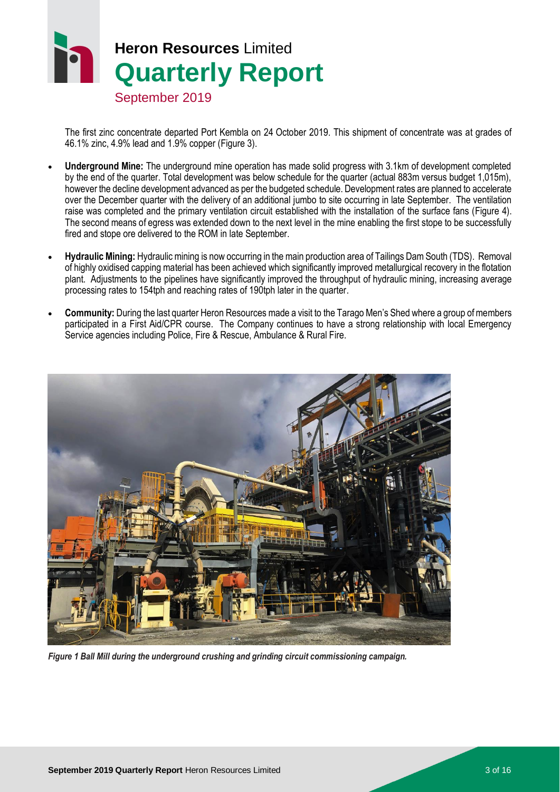# **Heron Resources** Limited **Quarterly Report**

September 2019

The first zinc concentrate departed Port Kembla on 24 October 2019. This shipment of concentrate was at grades of 46.1% zinc, 4.9% lead and 1.9% copper [\(Figure 3\)](#page-3-0).

- **Underground Mine:** The underground mine operation has made solid progress with 3.1km of development completed by the end of the quarter. Total development was below schedule for the quarter (actual 883m versus budget 1,015m), however the decline development advanced as per the budgeted schedule. Development rates are planned to accelerate over the December quarter with the delivery of an additional jumbo to site occurring in late September. The ventilation raise was completed and the primary ventilation circuit established with the installation of the surface fans [\(Figure 4\)](#page-4-0). The second means of egress was extended down to the next level in the mine enabling the first stope to be successfully fired and stope ore delivered to the ROM in late September.
- **Hydraulic Mining:** Hydraulic mining is now occurring in the main production area of Tailings Dam South (TDS). Removal of highly oxidised capping material has been achieved which significantly improved metallurgical recovery in the flotation plant. Adjustments to the pipelines have significantly improved the throughput of hydraulic mining, increasing average processing rates to 154tph and reaching rates of 190tph later in the quarter.
- **Community:** During the last quarter Heron Resources made a visit to the Tarago Men's Shed where a group of members participated in a First Aid/CPR course. The Company continues to have a strong relationship with local Emergency Service agencies including Police, Fire & Rescue, Ambulance & Rural Fire.

<span id="page-2-0"></span>

*Figure 1 Ball Mill during the underground crushing and grinding circuit commissioning campaign.*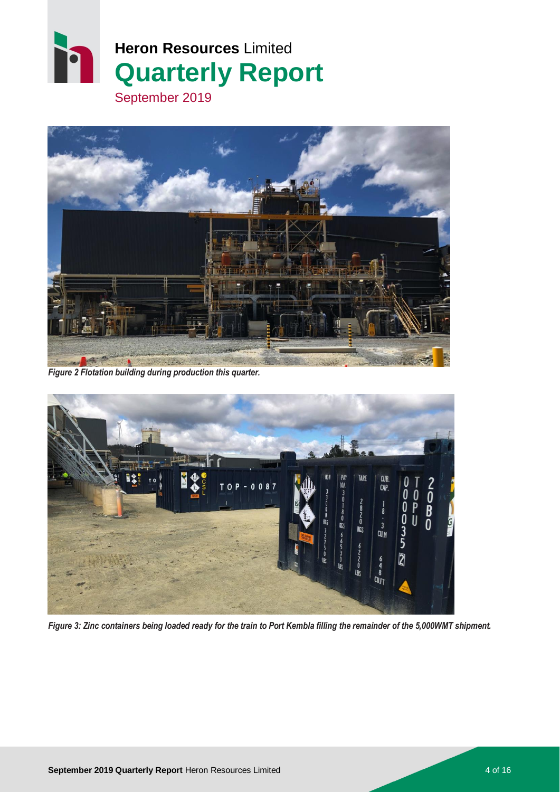



*Figure 2 Flotation building during production this quarter.*

<span id="page-3-0"></span>

*Figure 3: Zinc containers being loaded ready for the train to Port Kembla filling the remainder of the 5,000WMT shipment.*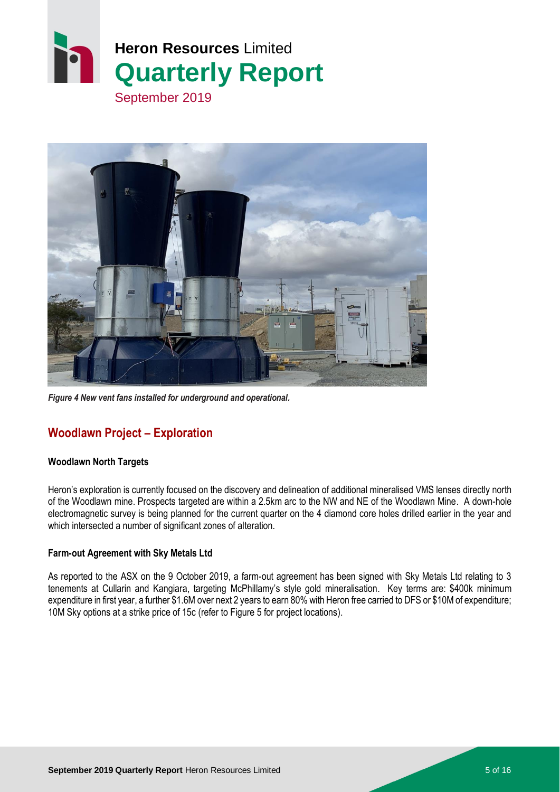



*Figure 4 New vent fans installed for underground and operational.*

# <span id="page-4-0"></span>**Woodlawn Project – Exploration**

#### **Woodlawn North Targets**

Heron's exploration is currently focused on the discovery and delineation of additional mineralised VMS lenses directly north of the Woodlawn mine. Prospects targeted are within a 2.5km arc to the NW and NE of the Woodlawn Mine. A down-hole electromagnetic survey is being planned for the current quarter on the 4 diamond core holes drilled earlier in the year and which intersected a number of significant zones of alteration.

#### **Farm-out Agreement with Sky Metals Ltd**

As reported to the ASX on the 9 October 2019, a farm-out agreement has been signed with Sky Metals Ltd relating to 3 tenements at Cullarin and Kangiara, targeting McPhillamy's style gold mineralisation. Key terms are: \$400k minimum expenditure in first year, a further \$1.6M over next 2 years to earn 80% with Heron free carried to DFS or \$10M of expenditure; 10M Sky options at a strike price of 15c (refer to [Figure 5](#page-5-0) for project locations).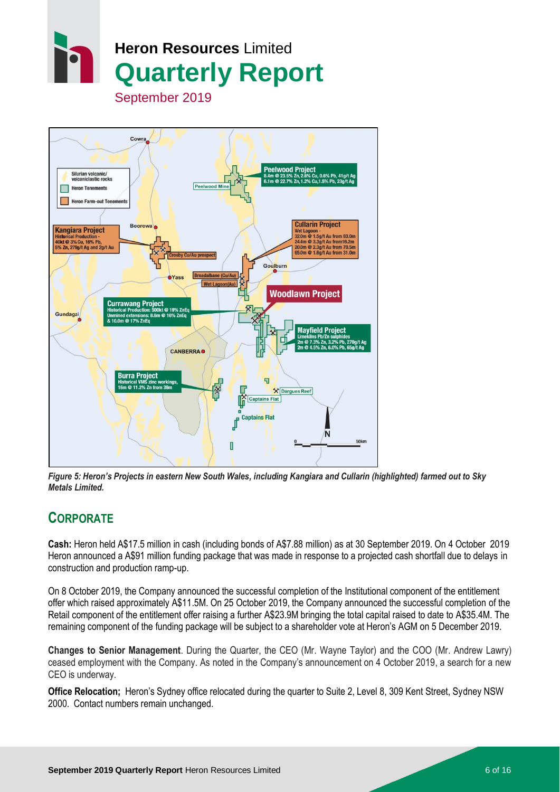



<span id="page-5-0"></span>*Figure 5: Heron's Projects in eastern New South Wales, including Kangiara and Cullarin (highlighted) farmed out to Sky Metals Limited.*

# **CORPORATE**

**Cash:** Heron held A\$17.5 million in cash (including bonds of A\$7.88 million) as at 30 September 2019. On 4 October 2019 Heron announced a A\$91 million funding package that was made in response to a projected cash shortfall due to delays in construction and production ramp-up.

On 8 October 2019, the Company announced the successful completion of the Institutional component of the entitlement offer which raised approximately A\$11.5M. On 25 October 2019, the Company announced the successful completion of the Retail component of the entitlement offer raising a further A\$23.9M bringing the total capital raised to date to A\$35.4M. The remaining component of the funding package will be subject to a shareholder vote at Heron's AGM on 5 December 2019.

**Changes to Senior Management**. During the Quarter, the CEO (Mr. Wayne Taylor) and the COO (Mr. Andrew Lawry) ceased employment with the Company. As noted in the Company's announcement on 4 October 2019, a search for a new CEO is underway.

**Office Relocation;** Heron's Sydney office relocated during the quarter to Suite 2, Level 8, 309 Kent Street, Sydney NSW 2000. Contact numbers remain unchanged.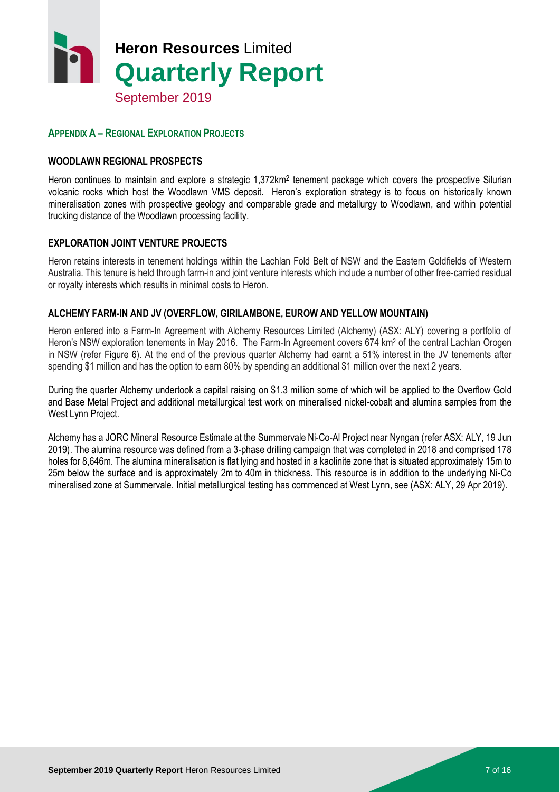

#### **APPENDIX A – REGIONAL EXPLORATION PROJECTS**

#### **WOODLAWN REGIONAL PROSPECTS**

Heron continues to maintain and explore a strategic 1,372km<sup>2</sup> tenement package which covers the prospective Silurian volcanic rocks which host the Woodlawn VMS deposit. Heron's exploration strategy is to focus on historically known mineralisation zones with prospective geology and comparable grade and metallurgy to Woodlawn, and within potential trucking distance of the Woodlawn processing facility.

#### **EXPLORATION JOINT VENTURE PROJECTS**

Heron retains interests in tenement holdings within the Lachlan Fold Belt of NSW and the Eastern Goldfields of Western Australia. This tenure is held through farm-in and joint venture interests which include a number of other free-carried residual or royalty interests which results in minimal costs to Heron.

#### **ALCHEMY FARM-IN AND JV (OVERFLOW, GIRILAMBONE, EUROW AND YELLOW MOUNTAIN)**

Heron entered into a Farm-In Agreement with Alchemy Resources Limited (Alchemy) (ASX: ALY) covering a portfolio of Heron's NSW exploration tenements in May 2016. The Farm-In Agreement covers 674 km<sup>2</sup> of the central Lachlan Orogen in NSW (refer [Figure 6\)](#page-7-0). At the end of the previous quarter Alchemy had earnt a 51% interest in the JV tenements after spending \$1 million and has the option to earn 80% by spending an additional \$1 million over the next 2 years.

During the quarter Alchemy undertook a capital raising on \$1.3 million some of which will be applied to the Overflow Gold and Base Metal Project and additional metallurgical test work on mineralised nickel-cobalt and alumina samples from the West Lynn Project.

Alchemy has a JORC Mineral Resource Estimate at the Summervale Ni-Co-Al Project near Nyngan (refer ASX: ALY, 19 Jun 2019). The alumina resource was defined from a 3-phase drilling campaign that was completed in 2018 and comprised 178 holes for 8,646m. The alumina mineralisation is flat lying and hosted in a kaolinite zone that is situated approximately 15m to 25m below the surface and is approximately 2m to 40m in thickness. This resource is in addition to the underlying Ni-Co mineralised zone at Summervale. Initial metallurgical testing has commenced at West Lynn, see (ASX: ALY, 29 Apr 2019).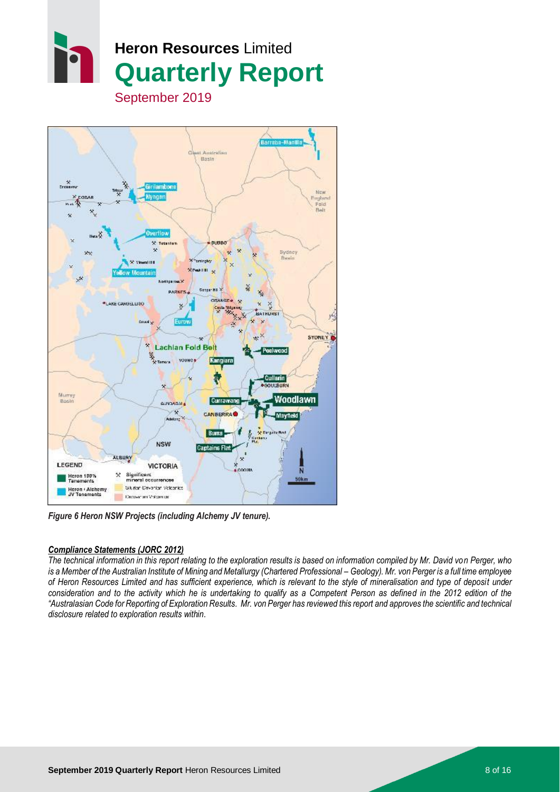



*Figure 6 Heron NSW Projects (including Alchemy JV tenure).*

#### <span id="page-7-0"></span>*Compliance Statements (JORC 2012)*

*The technical information in this report relating to the exploration results is based on information compiled by Mr. David von Perger, who is a Member of the Australian Institute of Mining and Metallurgy (Chartered Professional – Geology). Mr. von Perger is a full time employee of Heron Resources Limited and has sufficient experience, which is relevant to the style of mineralisation and type of deposit under consideration and to the activity which he is undertaking to qualify as a Competent Person as defined in the 2012 edition of the "Australasian Code for Reporting of Exploration Results. Mr. von Perger has reviewed this report and approves the scientific and technical disclosure related to exploration results within.*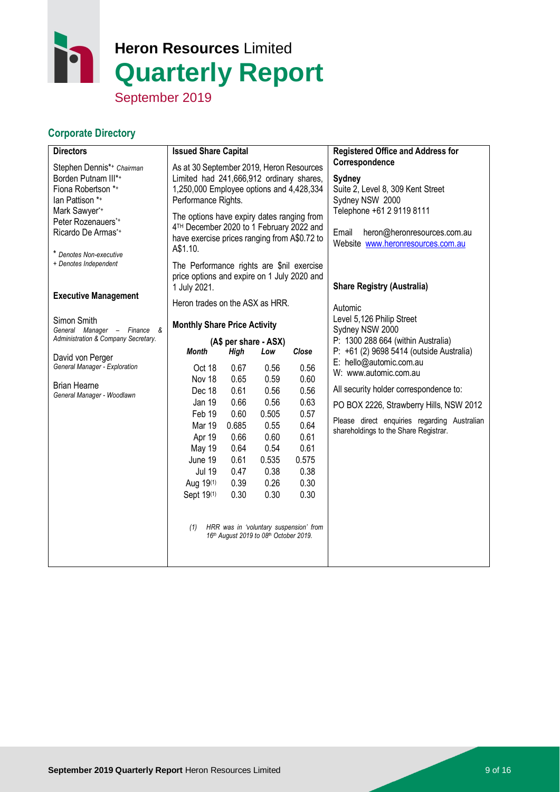# h **Heron Resources** Limited **Quarterly Report**

September 2019

## **Corporate Directory**

| <b>Directors</b>                                                                                                                                                                  | <b>Issued Share Capital</b>                                                                                                                                                                                                                                                                                   |                                                                                                              |                                                                                                                                                 | <b>Registered Office and Address for</b>                                                                                                                                                   |                                                                                                                                                                                                                                                                            |
|-----------------------------------------------------------------------------------------------------------------------------------------------------------------------------------|---------------------------------------------------------------------------------------------------------------------------------------------------------------------------------------------------------------------------------------------------------------------------------------------------------------|--------------------------------------------------------------------------------------------------------------|-------------------------------------------------------------------------------------------------------------------------------------------------|--------------------------------------------------------------------------------------------------------------------------------------------------------------------------------------------|----------------------------------------------------------------------------------------------------------------------------------------------------------------------------------------------------------------------------------------------------------------------------|
| Stephen Dennis*+ Chairman<br>Borden Putnam III*+<br>Fiona Robertson *+<br>lan Pattison *+<br>Mark Sawyer*+<br>Peter Rozenauers*+<br>Ricardo De Armas*+<br>* Denotes Non-executive | As at 30 September 2019, Heron Resources<br>Limited had 241,666,912 ordinary shares,<br>1,250,000 Employee options and 4,428,334<br>Performance Rights.<br>The options have expiry dates ranging from<br>4TH December 2020 to 1 February 2022 and<br>have exercise prices ranging from A\$0.72 to<br>A\$1.10. |                                                                                                              |                                                                                                                                                 | Correspondence<br>Sydney<br>Suite 2, Level 8, 309 Kent Street<br>Sydney NSW 2000<br>Telephone +61 2 9119 8111<br>Email<br>heron@heronresources.com.au<br>Website www.heronresources.com.au |                                                                                                                                                                                                                                                                            |
| + Denotes Independent<br><b>Executive Management</b>                                                                                                                              | The Performance rights are \$nil exercise<br>price options and expire on 1 July 2020 and<br>1 July 2021.<br>Heron trades on the ASX as HRR.                                                                                                                                                                   |                                                                                                              |                                                                                                                                                 |                                                                                                                                                                                            | <b>Share Registry (Australia)</b>                                                                                                                                                                                                                                          |
| Simon Smith<br>General Manager - Finance &<br>Administration & Company Secretary.                                                                                                 | <b>Monthly Share Price Activity</b><br>(A\$ per share - ASX)                                                                                                                                                                                                                                                  |                                                                                                              |                                                                                                                                                 |                                                                                                                                                                                            | Automic<br>Level 5,126 Philip Street<br>Sydney NSW 2000<br>P: 1300 288 664 (within Australia)                                                                                                                                                                              |
| David von Perger<br>General Manager - Exploration<br><b>Brian Hearne</b><br>General Manager - Woodlawn                                                                            | <b>Month</b><br>Oct 18<br>Nov 18<br>Dec 18<br><b>Jan 19</b><br>Feb 19<br>Mar 19<br>Apr 19<br><b>May 19</b><br>June 19<br><b>Jul 19</b><br>Aug 19(1)<br>Sept 19(1)<br>(1)                                                                                                                                      | <b>High</b><br>0.67<br>0.65<br>0.61<br>0.66<br>0.60<br>0.685<br>0.66<br>0.64<br>0.61<br>0.47<br>0.39<br>0.30 | Low<br>0.56<br>0.59<br>0.56<br>0.56<br>0.505<br>0.55<br>0.60<br>0.54<br>0.535<br>0.38<br>0.26<br>0.30<br>16th August 2019 to 08th October 2019. | Close<br>0.56<br>0.60<br>0.56<br>0.63<br>0.57<br>0.64<br>0.61<br>0.61<br>0.575<br>0.38<br>0.30<br>0.30<br>HRR was in 'voluntary suspension' from                                           | P: +61 (2) 9698 5414 (outside Australia)<br>E: hello@automic.com.au<br>W: www.automic.com.au<br>All security holder correspondence to:<br>PO BOX 2226, Strawberry Hills, NSW 2012<br>Please direct enquiries regarding Australian<br>shareholdings to the Share Registrar. |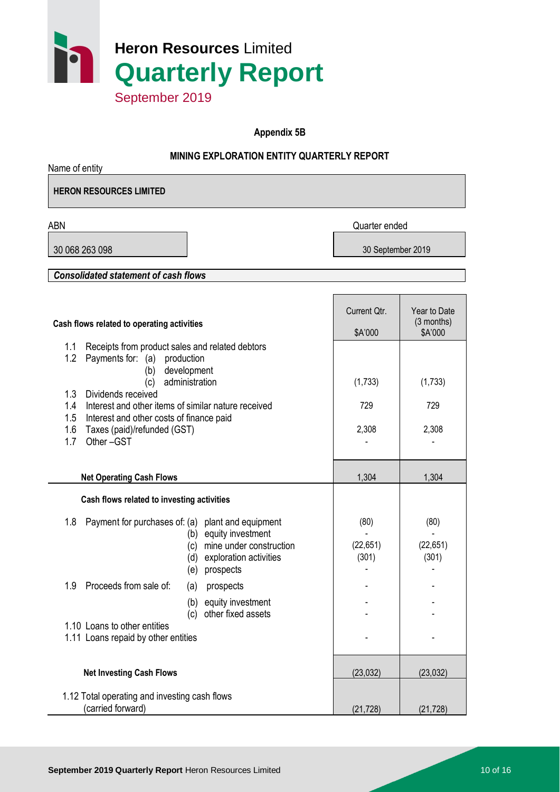

**Appendix 5B**

#### **MINING EXPLORATION ENTITY QUARTERLY REPORT**

| Name of entity                                                                                                                                                                                                                                                                                                                   |                            |                                       |
|----------------------------------------------------------------------------------------------------------------------------------------------------------------------------------------------------------------------------------------------------------------------------------------------------------------------------------|----------------------------|---------------------------------------|
| <b>HERON RESOURCES LIMITED</b>                                                                                                                                                                                                                                                                                                   |                            |                                       |
| <b>ABN</b>                                                                                                                                                                                                                                                                                                                       | Quarter ended              |                                       |
| 30 068 263 098                                                                                                                                                                                                                                                                                                                   | 30 September 2019          |                                       |
| <b>Consolidated statement of cash flows</b>                                                                                                                                                                                                                                                                                      |                            |                                       |
|                                                                                                                                                                                                                                                                                                                                  |                            |                                       |
| Cash flows related to operating activities                                                                                                                                                                                                                                                                                       | Current Qtr.<br>\$A'000    | Year to Date<br>(3 months)<br>\$A'000 |
| 1.1<br>Receipts from product sales and related debtors<br>1.2<br>Payments for: (a) production<br>development<br>(b)<br>administration<br>(c)<br>1.3<br>Dividends received<br>Interest and other items of similar nature received<br>1.4<br>1.5<br>Interest and other costs of finance paid<br>1.6<br>Taxes (paid)/refunded (GST) | (1,733)<br>729<br>2,308    | (1,733)<br>729<br>2,308               |
| 1.7<br>Other-GST<br><b>Net Operating Cash Flows</b>                                                                                                                                                                                                                                                                              | 1,304                      | 1,304                                 |
| Cash flows related to investing activities                                                                                                                                                                                                                                                                                       |                            |                                       |
| 1.8<br>Payment for purchases of: (a) plant and equipment<br>(b) equity investment<br>mine under construction<br>(c)<br>exploration activities<br>(d)<br>prospects<br>(e)                                                                                                                                                         | (80)<br>(22, 651)<br>(301) | (80)<br>(22, 651)<br>(301)            |
| Proceeds from sale of:<br>1.9<br>prospects<br>(a)<br>equity investment<br>(b)<br>other fixed assets<br>(c)                                                                                                                                                                                                                       |                            |                                       |
| 1.10 Loans to other entities<br>1.11 Loans repaid by other entities                                                                                                                                                                                                                                                              |                            |                                       |
| <b>Net Investing Cash Flows</b>                                                                                                                                                                                                                                                                                                  | (23, 032)                  | (23, 032)                             |
| 1.12 Total operating and investing cash flows<br>(carried forward)                                                                                                                                                                                                                                                               | (21, 728)                  | (21, 728)                             |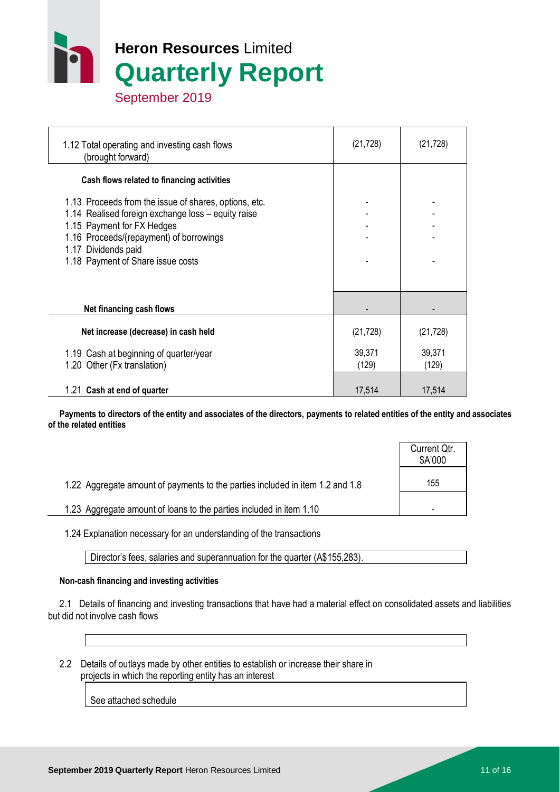

 1.12 Total operating and investing cash flows (brought forward) (21,728) (21,728)  **Cash flows related to financing activities** 1.13 Proceeds from the issue of shares, options, etc. 1.14 Realised foreign exchange  $loss -$  equity raise 1.15 Payment for FX Hedges 1.16 Proceeds/(repayment) of borrowings 1.17 Dividends paid 1.18 Payment of Share issue costs **Net financing cash flows Net increase (decrease) in cash held** (21,728) (21,728) (21,728) 1.19 Cash at beginning of quarter/year 39,371 39,371 39,371 1.20 Other (Fx translation) (129) (129) (129) 1.21 **Cash at end of quarter** 17.514 17.514 17.514

 **Payments to directors of the entity and associates of the directors, payments to related entities of the entity and associates of the related entities**

|                                                                               | Current Qtr.<br>\$A'000 |
|-------------------------------------------------------------------------------|-------------------------|
| 1.22 Aggregate amount of payments to the parties included in item 1.2 and 1.8 | 155                     |
| 1.23 Aggregate amount of loans to the parties included in item 1.10           |                         |

1.24 Explanation necessary for an understanding of the transactions

Director's fees, salaries and superannuation for the quarter (A\$155,283).

#### **Non-cash financing and investing activities**

 2.1 Details of financing and investing transactions that have had a material effect on consolidated assets and liabilities but did not involve cash flows

 2.2 Details of outlays made by other entities to establish or increase their share in projects in which the reporting entity has an interest

See attached schedule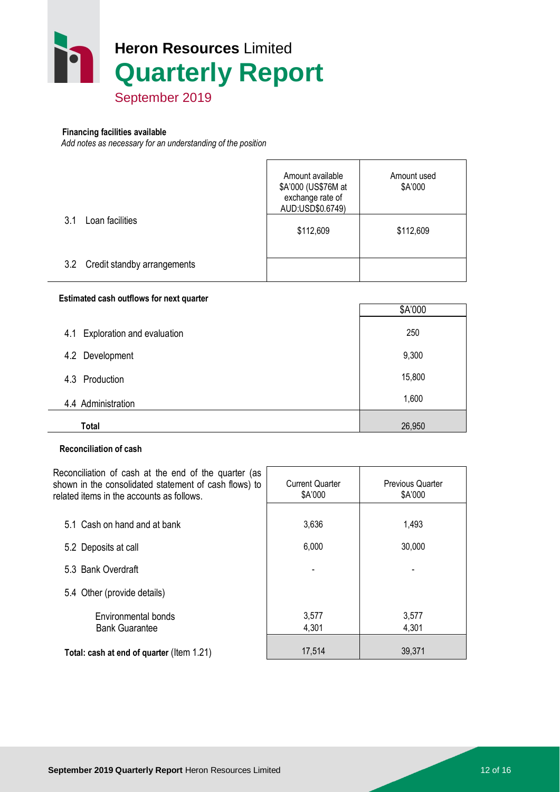

#### **Financing facilities available**

*Add notes as necessary for an understanding of the position*

|                                 | Amount available<br>\$A'000 (US\$76M at<br>exchange rate of<br>AUD:USD\$0.6749) | Amount used<br>\$A'000 |
|---------------------------------|---------------------------------------------------------------------------------|------------------------|
| Loan facilities<br>3.1          | \$112,609                                                                       | \$112,609              |
| 3.2 Credit standby arrangements |                                                                                 |                        |

#### **Estimated cash outflows for next quarter**

|                                          | \$A'000 |
|------------------------------------------|---------|
| <b>Exploration and evaluation</b><br>4.1 | 250     |
| 4.2 Development                          | 9,300   |
| 4.3 Production                           | 15,800  |
| 4.4 Administration                       | 1,600   |
| <b>Total</b>                             | 26,950  |

#### **Reconciliation of cash**

Reconciliation of cash at the end of the quarter (as shown in the consolidated statement of cash flows) to related items in the accounts as follows. Current Quarter \$A'000 Previous Quarter \$A'000 5.1 Cash on hand and at bank 1,493 5.2 Deposits at call 6,000 30,000 5.3 Bank Overdraft 5.4 Other (provide details) Environmental bonds 1 3,577 3,577 Bank Guarantee 1, 1, 201 4,301 4,301 **Total: cash at end of quarter** (Item 1.21) 17,514 17,514 39,371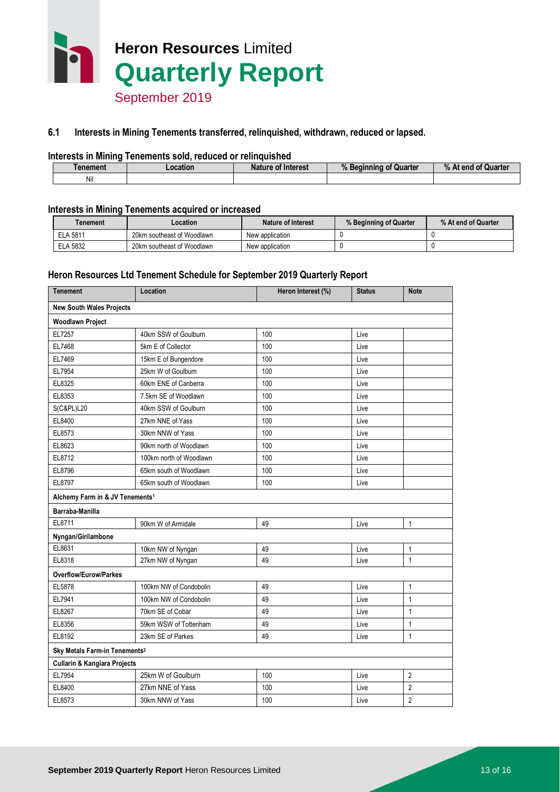

#### **6.1 Interests in Mining Tenements transferred, relinquished, withdrawn, reduced or lapsed.**

#### **Interests in Mining Tenements sold, reduced or relinquished**

| <b>Tenement</b> | .ocation | <b>Nature of Interest</b> | $\mathbf{a}$<br><b>Quarter</b><br>Beginning of<br>"-<br>70. | % At end of Quarter |
|-----------------|----------|---------------------------|-------------------------------------------------------------|---------------------|
| Nil             |          |                           |                                                             |                     |

#### **Interests in Mining Tenements acquired or increased**

| Tenement        | .ocation                   | Nature of Interest | % Beginning of Quarter | % At end of Quarter |
|-----------------|----------------------------|--------------------|------------------------|---------------------|
| ELA 5811        | 20km southeast of Woodlawn | New application    |                        |                     |
| <b>ELA 5832</b> | 20km southeast of Woodlawn | New application    |                        |                     |

#### **Heron Resources Ltd Tenement Schedule for September 2019 Quarterly Report**

| <b>Tenement</b>                             | Location                | Heron Interest (%) | <b>Status</b> | <b>Note</b>    |  |
|---------------------------------------------|-------------------------|--------------------|---------------|----------------|--|
| <b>New South Wales Projects</b>             |                         |                    |               |                |  |
| Woodlawn Project                            |                         |                    |               |                |  |
| EL7257                                      | 40km SSW of Goulburn    | 100                | Live          |                |  |
| EL7468                                      | 5km E of Collector      | 100                | Live          |                |  |
| EL7469                                      | 15km E of Bungendore    | 100                | Live          |                |  |
| EL7954                                      | 25km W of Goulburn      | 100                | Live          |                |  |
| EL8325                                      | 60km ENE of Canberra    | 100                | Live          |                |  |
| EL8353                                      | 7.5km SE of Woodlawn    | 100                | Live          |                |  |
| <b>S(C&amp;PL)L20</b>                       | 40km SSW of Goulburn    | 100                | Live          |                |  |
| EL8400                                      | 27km NNE of Yass        | 100                | Live          |                |  |
| EL8573                                      | 30km NNW of Yass        | 100                | Live          |                |  |
| EL8623                                      | 90km north of Woodlawn  | 100                | Live          |                |  |
| EL8712                                      | 100km north of Woodlawn | 100                | Live          |                |  |
| EL8796                                      | 65km south of Woodlawn  | 100                | Live          |                |  |
| EL8797                                      | 65km south of Woodlawn  | 100                | Live          |                |  |
| Alchemy Farm in & JV Tenements <sup>1</sup> |                         |                    |               |                |  |
| Barraba-Manilla                             |                         |                    |               |                |  |
| EL8711                                      | 90km W of Armidale      | 49                 | Live          | 1              |  |
| Nyngan/Girilambone                          |                         |                    |               |                |  |
| EL8631                                      | 10km NW of Nyngan       | 49                 | Live          | 1              |  |
| EL8318                                      | 27km NW of Nyngan       | 49                 | Live          | $\mathbf{1}$   |  |
| <b>Overflow/Eurow/Parkes</b>                |                         |                    |               |                |  |
| EL5878                                      | 100km NW of Condobolin  | 49                 | Live          | 1              |  |
| EL7941                                      | 100km NW of Condobolin  | 49                 | Live          | $\mathbf{1}$   |  |
| EL8267                                      | 70km SE of Cobar        | 49                 | Live          | 1              |  |
| EL8356                                      | 59km WSW of Tottenham   | 49                 | Live          | $\mathbf{1}$   |  |
| EL8192                                      | 23km SE of Parkes       | 49                 | Live          | $\mathbf{1}$   |  |
| Sky Metals Farm-in Tenements <sup>2</sup>   |                         |                    |               |                |  |
| <b>Cullarin &amp; Kangiara Projects</b>     |                         |                    |               |                |  |
| EL7954                                      | 25km W of Goulburn      | 100                | Live          | 2              |  |
| EL8400                                      | 27km NNE of Yass        | 100                | Live          | $\overline{2}$ |  |
| EL8573                                      | 30km NNW of Yass        | 100                | Live          | $\overline{2}$ |  |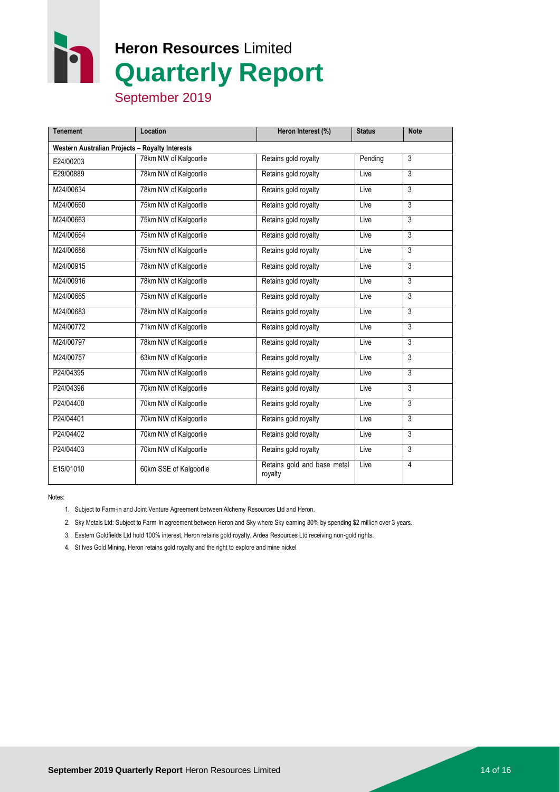**Heron Resources** Limited **Quarterly Report**

September 2019

| <b>Tenement</b>                                 | Location               | Heron Interest (%)                     | <b>Status</b> | <b>Note</b>    |  |  |
|-------------------------------------------------|------------------------|----------------------------------------|---------------|----------------|--|--|
| Western Australian Projects - Royalty Interests |                        |                                        |               |                |  |  |
| E24/00203                                       | 78km NW of Kalgoorlie  | Retains gold royalty                   | Pending       | 3              |  |  |
| E29/00889                                       | 78km NW of Kalgoorlie  | Retains gold royalty                   | Live          | $\overline{3}$ |  |  |
| M24/00634                                       | 78km NW of Kalgoorlie  | Retains gold royalty                   | Live          | 3              |  |  |
| M24/00660                                       | 75km NW of Kalgoorlie  | Retains gold royalty                   | Live          | 3              |  |  |
| M24/00663                                       | 75km NW of Kalgoorlie  | Retains gold royalty                   | Live          | $\overline{3}$ |  |  |
| M24/00664                                       | 75km NW of Kalgoorlie  | Retains gold royalty                   | Live          | 3              |  |  |
| M24/00686                                       | 75km NW of Kalgoorlie  | Retains gold royalty                   | Live          | 3              |  |  |
| M24/00915                                       | 78km NW of Kalgoorlie  | Retains gold royalty                   | Live          | 3              |  |  |
| M24/00916                                       | 78km NW of Kalgoorlie  | Retains gold royalty                   | Live          | 3              |  |  |
| M24/00665                                       | 75km NW of Kalgoorlie  | Retains gold royalty                   | Live          | 3              |  |  |
| M24/00683                                       | 78km NW of Kalgoorlie  | Retains gold royalty                   | Live          | 3              |  |  |
| M24/00772                                       | 71km NW of Kalgoorlie  | Retains gold royalty                   | Live          | 3              |  |  |
| M24/00797                                       | 78km NW of Kalgoorlie  | Retains gold royalty                   | Live          | 3              |  |  |
| M24/00757                                       | 63km NW of Kalgoorlie  | Retains gold royalty                   | Live          | 3              |  |  |
| P24/04395                                       | 70km NW of Kalgoorlie  | Retains gold royalty                   | Live          | 3              |  |  |
| P24/04396                                       | 70km NW of Kalgoorlie  | Retains gold royalty                   | Live          | 3              |  |  |
| P24/04400                                       | 70km NW of Kalgoorlie  | Retains gold royalty                   | Live          | $\overline{3}$ |  |  |
| P24/04401                                       | 70km NW of Kalgoorlie  | Retains gold royalty                   | Live          | 3              |  |  |
| P24/04402                                       | 70km NW of Kalgoorlie  | Retains gold royalty                   | Live          | 3              |  |  |
| P24/04403                                       | 70km NW of Kalgoorlie  | Retains gold royalty                   | Live          | 3              |  |  |
| E15/01010                                       | 60km SSE of Kalgoorlie | Retains gold and base metal<br>royalty | Live          | 4              |  |  |

Notes:

- 1. Subject to Farm-in and Joint Venture Agreement between Alchemy Resources Ltd and Heron.
- 2. Sky Metals Ltd: Subject to Farm-In agreement between Heron and Sky where Sky earning 80% by spending \$2 million over 3 years.
- 3. Eastern Goldfields Ltd hold 100% interest, Heron retains gold royalty, Ardea Resources Ltd receiving non-gold rights.
- 4. St Ives Gold Mining, Heron retains gold royalty and the right to explore and mine nickel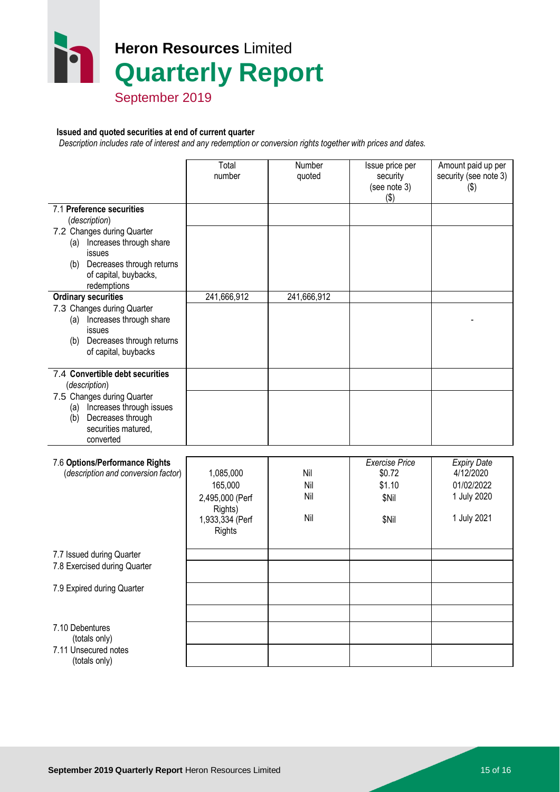# **Heron Resources** Limited **Quarterly Report**

September 2019

#### **Issued and quoted securities at end of current quarter**

 *Description includes rate of interest and any redemption or conversion rights together with prices and dates.*

|                                                                                                                                                                                                                                                                                                                                                          | Total<br>number                                                                        | Number<br>quoted         | Issue price per<br>security<br>(see note 3)<br>$($ \$)      | Amount paid up per<br>security (see note 3)<br>$(\$)$                       |
|----------------------------------------------------------------------------------------------------------------------------------------------------------------------------------------------------------------------------------------------------------------------------------------------------------------------------------------------------------|----------------------------------------------------------------------------------------|--------------------------|-------------------------------------------------------------|-----------------------------------------------------------------------------|
| 7.1 Preference securities<br>(description)<br>7.2 Changes during Quarter<br>(a) Increases through share<br>issues<br>(b) Decreases through returns<br>of capital, buybacks,<br>redemptions<br><b>Ordinary securities</b><br>7.3 Changes during Quarter<br>(a) Increases through share<br>issues<br>(b) Decreases through returns<br>of capital, buybacks | 241,666,912                                                                            | 241,666,912              |                                                             |                                                                             |
| 7.4 Convertible debt securities<br>(description)<br>7.5 Changes during Quarter<br>Increases through issues<br>(a)<br>Decreases through<br>(b)<br>securities matured,<br>converted                                                                                                                                                                        |                                                                                        |                          |                                                             |                                                                             |
| 7.6 Options/Performance Rights<br>(description and conversion factor)                                                                                                                                                                                                                                                                                    | 1,085,000<br>165,000<br>2,495,000 (Perf<br>Rights)<br>1,933,334 (Perf<br><b>Rights</b> | Nil<br>Nil<br>Nil<br>Nil | <b>Exercise Price</b><br>\$0.72<br>\$1.10<br>\$Nil<br>\$Nil | <b>Expiry Date</b><br>4/12/2020<br>01/02/2022<br>1 July 2020<br>1 July 2021 |
| 7.7 Issued during Quarter<br>7.8 Exercised during Quarter                                                                                                                                                                                                                                                                                                |                                                                                        |                          |                                                             |                                                                             |
| 7.9 Expired during Quarter                                                                                                                                                                                                                                                                                                                               |                                                                                        |                          |                                                             |                                                                             |
| 7.10 Debentures<br>(totals only)<br>7.11 Unsecured notes<br>(totals only)                                                                                                                                                                                                                                                                                |                                                                                        |                          |                                                             |                                                                             |